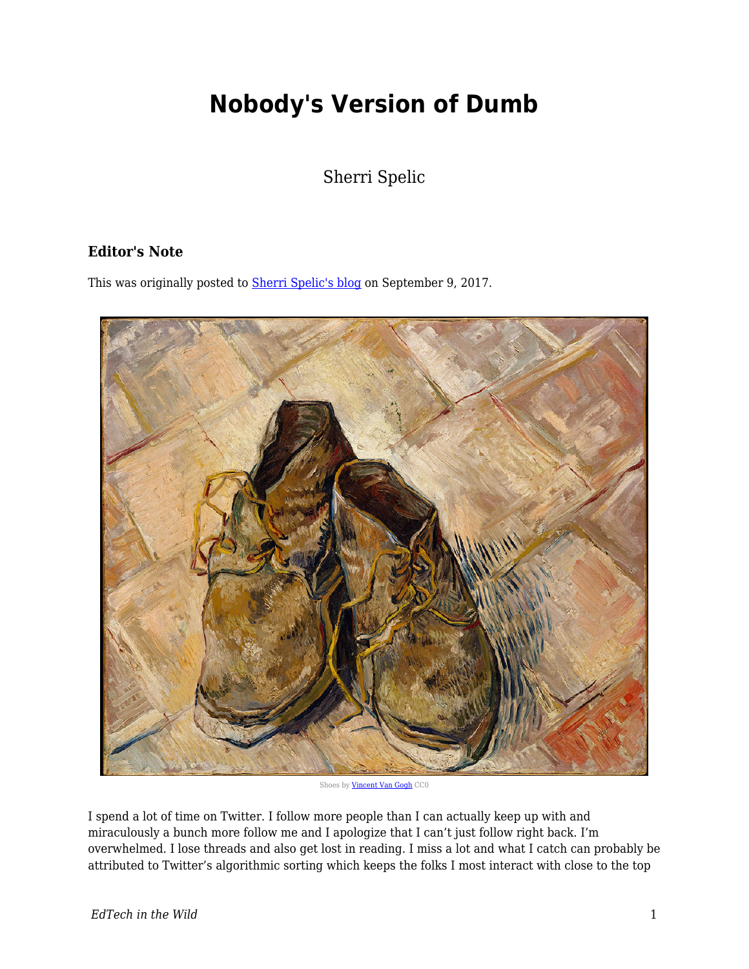## **Nobody's Version of Dumb**

Sherri Spelic

## **Editor's Note**

This was originally posted to **Sherri Spelic's blog** on September 9, 2017.



Shoes by [Vincent Van Gogh](http://images.metmuseum.org/CRDImages/ep/original/DT1947.jpg) CC0

I spend a lot of time on Twitter. I follow more people than I can actually keep up with and miraculously a bunch more follow me and I apologize that I can't just follow right back. I'm overwhelmed. I lose threads and also get lost in reading. I miss a lot and what I catch can probably be attributed to Twitter's algorithmic sorting which keeps the folks I most interact with close to the top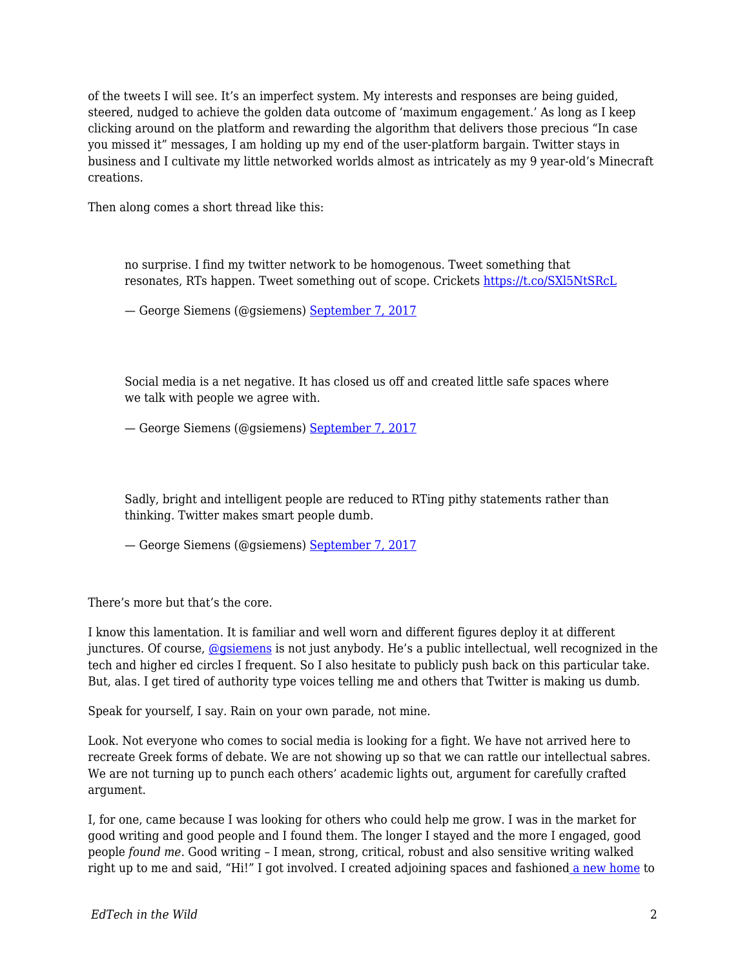of the tweets I will see. It's an imperfect system. My interests and responses are being guided, steered, nudged to achieve the golden data outcome of 'maximum engagement.' As long as I keep clicking around on the platform and rewarding the algorithm that delivers those precious "In case you missed it" messages, I am holding up my end of the user-platform bargain. Twitter stays in business and I cultivate my little networked worlds almost as intricately as my 9 year-old's Minecraft creations.

Then along comes a short thread like this:

no surprise. I find my twitter network to be homogenous. Tweet something that resonates, RTs happen. Tweet something out of scope. Crickets<https://t.co/SXl5NtSRcL>

— George Siemens (@gsiemens) [September 7, 2017](https://twitter.com/gsiemens/status/905837030072086529)

Social media is a net negative. It has closed us off and created little safe spaces where we talk with people we agree with.

— George Siemens (@gsiemens) [September 7, 2017](https://twitter.com/gsiemens/status/905837397950255105)

Sadly, bright and intelligent people are reduced to RTing pithy statements rather than thinking. Twitter makes smart people dumb.

— George Siemens (@gsiemens) [September 7, 2017](https://twitter.com/gsiemens/status/905837821071691776)

There's more but that's the core.

I know this lamentation. It is familiar and well worn and different figures deploy it at different junctures. Of course, [@gsiemens](https://twitter.com/gsiemens) is not just anybody. He's a public intellectual, well recognized in the tech and higher ed circles I frequent. So I also hesitate to publicly push back on this particular take. But, alas. I get tired of authority type voices telling me and others that Twitter is making us dumb.

Speak for yourself, I say. Rain on your own parade, not mine.

Look. Not everyone who comes to social media is looking for a fight. We have not arrived here to recreate Greek forms of debate. We are not showing up so that we can rattle our intellectual sabres. We are not turning up to punch each others' academic lights out, argument for carefully crafted argument.

I, for one, came because I was looking for others who could help me grow. I was in the market for good writing and good people and I found them. The longer I stayed and the more I engaged, good people *found me*. Good writing – I mean, strong, critical, robust and also sensitive writing walked right up to me and said, "Hi!" I got involved. I created adjoining spaces and fashioned [a new home](https://medium.com/identity-education-and-power) to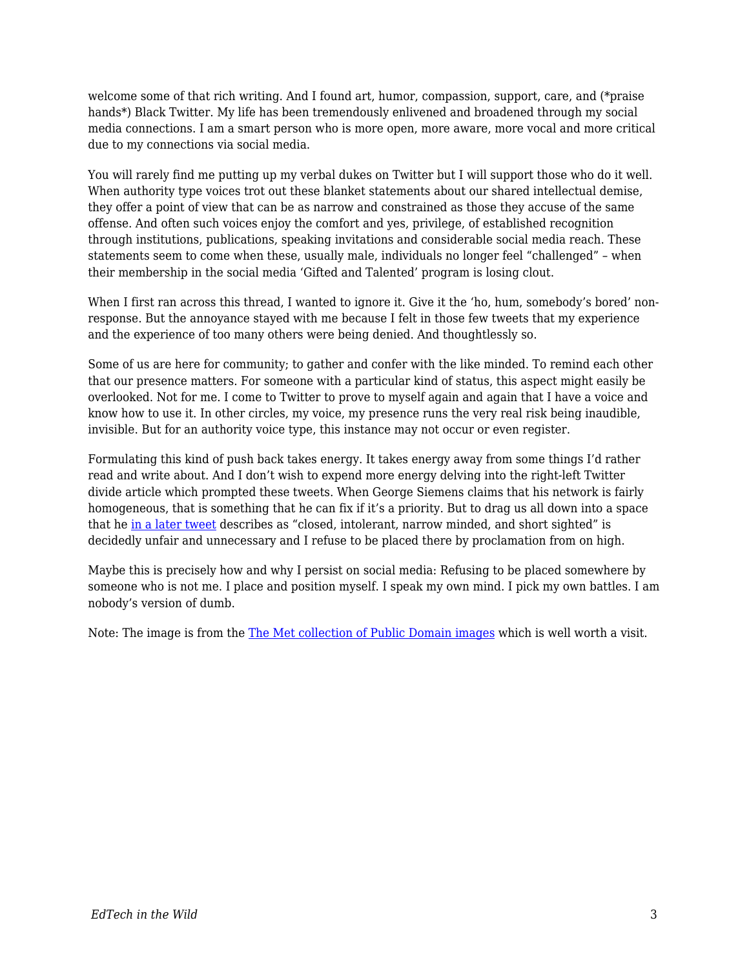welcome some of that rich writing. And I found art, humor, compassion, support, care, and (\*praise hands\*) Black Twitter. My life has been tremendously enlivened and broadened through my social media connections. I am a smart person who is more open, more aware, more vocal and more critical due to my connections via social media.

You will rarely find me putting up my verbal dukes on Twitter but I will support those who do it well. When authority type voices trot out these blanket statements about our shared intellectual demise, they offer a point of view that can be as narrow and constrained as those they accuse of the same offense. And often such voices enjoy the comfort and yes, privilege, of established recognition through institutions, publications, speaking invitations and considerable social media reach. These statements seem to come when these, usually male, individuals no longer feel "challenged" – when their membership in the social media 'Gifted and Talented' program is losing clout.

When I first ran across this thread, I wanted to ignore it. Give it the 'ho, hum, somebody's bored' nonresponse. But the annoyance stayed with me because I felt in those few tweets that my experience and the experience of too many others were being denied. And thoughtlessly so.

Some of us are here for community; to gather and confer with the like minded. To remind each other that our presence matters. For someone with a particular kind of status, this aspect might easily be overlooked. Not for me. I come to Twitter to prove to myself again and again that I have a voice and know how to use it. In other circles, my voice, my presence runs the very real risk being inaudible, invisible. But for an authority voice type, this instance may not occur or even register.

Formulating this kind of push back takes energy. It takes energy away from some things I'd rather read and write about. And I don't wish to expend more energy delving into the right-left Twitter divide article which prompted these tweets. When George Siemens claims that his network is fairly homogeneous, that is something that he can fix if it's a priority. But to drag us all down into a space that he [in a later tweet](https://twitter.com/gsiemens/status/905838706866696192) describes as "closed, intolerant, narrow minded, and short sighted" is decidedly unfair and unnecessary and I refuse to be placed there by proclamation from on high.

Maybe this is precisely how and why I persist on social media: Refusing to be placed somewhere by someone who is not me. I place and position myself. I speak my own mind. I pick my own battles. I am nobody's version of dumb.

Note: The image is from the [The Met collection of Public Domain images](http://metmuseum.org/about-the-met/policies-and-documents/image-resources) which is well worth a visit.